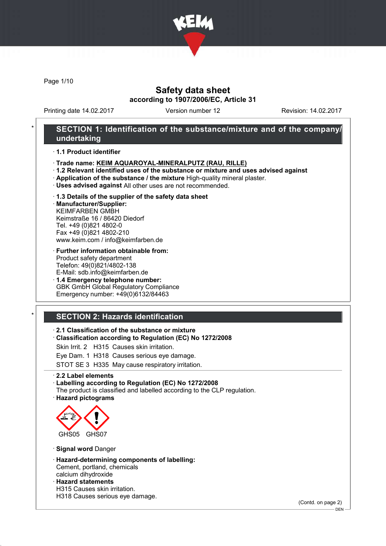

Page 1/10

### Safety data sheet according to 1907/2006/EC, Article 31

Printing date 14.02.2017 Version number 12 Revision: 14.02.2017

### SECTION 1: Identification of the substance/mixture and of the company/ undertaking

· 1.1 Product identifier

- · Trade name: KEIM AQUAROYAL-MINERALPUTZ (RAU, RILLE)
- · 1.2 Relevant identified uses of the substance or mixture and uses advised against
- · Application of the substance / the mixture High-quality mineral plaster.
- · Uses advised against All other uses are not recommended.
- · 1.3 Details of the supplier of the safety data sheet · Manufacturer/Supplier:

KEIMFARBEN GMBH Keimstraße 16 / 86420 Diedorf Tel. +49 (0)821 4802-0 Fax +49 (0)821 4802-210 www.keim.com / info@keimfarben.de

- · Further information obtainable from: Product safety department Telefon: 49(0)821/4802-138 E-Mail: sdb.info@keimfarben.de
- · 1.4 Emergency telephone number: GBK GmbH Global Regulatory Compliance Emergency number: +49(0)6132/84463

## **SECTION 2: Hazards identification**

#### · 2.1 Classification of the substance or mixture

- · Classification according to Regulation (EC) No 1272/2008
- Skin Irrit. 2 H315 Causes skin irritation.
- Eye Dam. 1 H318 Causes serious eye damage.

STOT SE 3 H335 May cause respiratory irritation.

· 2.2 Label elements

- · Labelling according to Regulation (EC) No 1272/2008
- The product is classified and labelled according to the CLP regulation. · Hazard pictograms



· Signal word Danger

- · Hazard-determining components of labelling: Cement, portland, chemicals calcium dihydroxide
- · Hazard statements
- H315 Causes skin irritation.
- H318 Causes serious eye damage.

(Contd. on page 2)

<sup>-</sup> DEN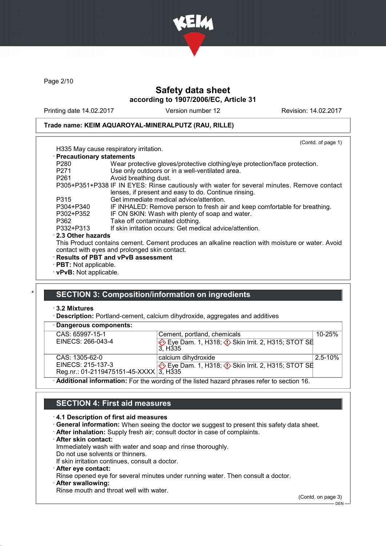

Page 2/10

### Safety data sheet according to 1907/2006/EC, Article 31

Printing date 14.02.2017 Version number 12 Revision: 14.02.2017

(Contd. of page 1)

### Trade name: KEIM AQUAROYAL-MINERALPUTZ (RAU, RILLE)

| H335 May cause respiratory irritation. |
|----------------------------------------|

| · Precautionary statements |                                                                                            |
|----------------------------|--------------------------------------------------------------------------------------------|
| P <sub>280</sub>           | Wear protective gloves/protective clothing/eye protection/face protection.                 |
| P <sub>271</sub>           | Use only outdoors or in a well-ventilated area.                                            |
| P <sub>261</sub>           | Avoid breathing dust.                                                                      |
|                            | P305+P351+P338 IF IN EYES: Rinse cautiously with water for several minutes. Remove contact |
|                            | lenses, if present and easy to do. Continue rinsing.                                       |
| P315                       | Get immediate medical advice/attention.                                                    |
| P304+P340                  | IF INHALED: Remove person to fresh air and keep comfortable for breathing.                 |
| P302+P352                  | IF ON SKIN: Wash with plenty of soap and water.                                            |
| P362                       | Take off contaminated clothing.                                                            |
| P332+P313                  | If skin irritation occurs: Get medical advice/attention.                                   |
| $\cdot$ 2.3 Other hazards  |                                                                                            |
|                            |                                                                                            |

This Product contains cement. Cement produces an alkaline reaction with moisture or water. Avoid contact with eyes and prolonged skin contact.

- · Results of PBT and vPvB assessment
- · PBT: Not applicable.
- · vPvB: Not applicable.

### **SECTION 3: Composition/information on ingredients**

#### · 3.2 Mixtures

**Description:** Portland-cement, calcium dihydroxide, aggregates and additives

| · Dangerous components:                |                                                                                                  |             |
|----------------------------------------|--------------------------------------------------------------------------------------------------|-------------|
| CAS: 65997-15-1                        | Cement, portland, chemicals                                                                      | $10 - 25%$  |
| EINECS: 266-043-4                      | Eye Dam. 1, H318; $\Diamond$ Skin Irrit. 2, H315; STOT SE<br>3. H <sub>335</sub>                 |             |
| CAS: 1305-62-0                         | calcium dihydroxide                                                                              | $2.5 - 10%$ |
| EINECS: 215-137-3                      | Eye Dam. 1, H318; $\Diamond$ Skin Irrit. 2, H315; STOT SE                                        |             |
| Reg.nr.: 01-2119475151-45-XXXX 3, H335 |                                                                                                  |             |
|                                        | $\cdot$ Additional information: For the wording of the listed hazard phrases refer to section 16 |             |

· Additional information: For the wording of the listed hazard phrases refer to section 16.

### SECTION 4: First aid measures

#### · 4.1 Description of first aid measures

- · General information: When seeing the doctor we suggest to present this safety data sheet.
- · After inhalation: Supply fresh air; consult doctor in case of complaints.
- · After skin contact:

Immediately wash with water and soap and rinse thoroughly.

Do not use solvents or thinners. If skin irritation continues, consult a doctor.

- 
- · After eye contact:

Rinse opened eye for several minutes under running water. Then consult a doctor.

After swallowing:

Rinse mouth and throat well with water.

(Contd. on page 3)

 $-$  DEN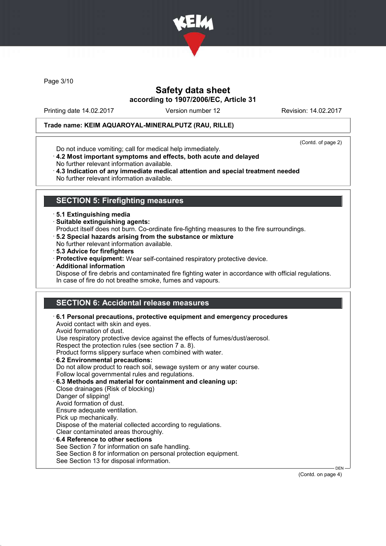

Page 3/10

### Safety data sheet according to 1907/2006/EC, Article 31

Printing date 14.02.2017 Version number 12 Revision: 14.02.2017

### Trade name: KEIM AQUAROYAL-MINERALPUTZ (RAU, RILLE)

(Contd. of page 2)

- Do not induce vomiting; call for medical help immediately.
- · 4.2 Most important symptoms and effects, both acute and delayed No further relevant information available.
- · 4.3 Indication of any immediate medical attention and special treatment needed No further relevant information available.

### SECTION 5: Firefighting measures

- · 5.1 Extinguishing media
- · Suitable extinguishing agents:
- Product itself does not burn. Co-ordinate fire-fighting measures to the fire surroundings.
- · 5.2 Special hazards arising from the substance or mixture
- No further relevant information available.
- · 5.3 Advice for firefighters
- · Protective equipment: Wear self-contained respiratory protective device.
- · Additional information
- Dispose of fire debris and contaminated fire fighting water in accordance with official regulations. In case of fire do not breathe smoke, fumes and vapours.

## SECTION 6: Accidental release measures

| $\cdot$ 6.1 Personal precautions, protective equipment and emergency procedures<br>Avoid contact with skin and eyes.<br>Avoid formation of dust. |
|--------------------------------------------------------------------------------------------------------------------------------------------------|
| Use respiratory protective device against the effects of fumes/dust/aerosol.                                                                     |
| Respect the protection rules (see section 7 a. 8).                                                                                               |
| Product forms slippery surface when combined with water.                                                                                         |
| 6.2 Environmental precautions:                                                                                                                   |
| Do not allow product to reach soil, sewage system or any water course.                                                                           |
| Follow local governmental rules and regulations.                                                                                                 |
| 6.3 Methods and material for containment and cleaning up:                                                                                        |
| Close drainages (Risk of blocking)                                                                                                               |
| Danger of slipping!                                                                                                                              |
| Avoid formation of dust.                                                                                                                         |
| Ensure adequate ventilation.                                                                                                                     |
| Pick up mechanically.                                                                                                                            |
| Dispose of the material collected according to regulations.                                                                                      |
| Clear contaminated areas thoroughly.                                                                                                             |
| 6.4 Reference to other sections                                                                                                                  |
| See Section 7 for information on safe handling.                                                                                                  |
| See Section 8 for information on personal protection equipment.                                                                                  |
| See Section 13 for disposal information.                                                                                                         |

(Contd. on page 4)

DEN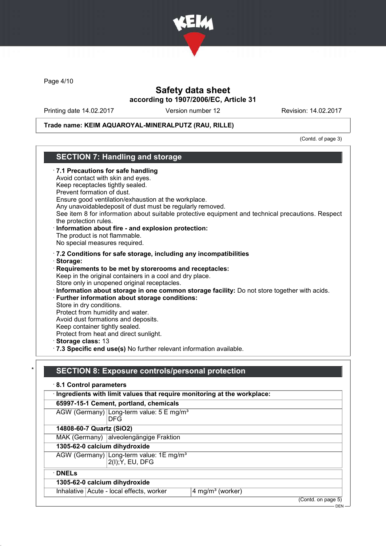

Page 4/10

### Safety data sheet according to 1907/2006/EC, Article 31

Printing date 14.02.2017 Version number 12 Revision: 14.02.2017

#### Trade name: KEIM AQUAROYAL-MINERALPUTZ (RAU, RILLE)

(Contd. of page 3)

### SECTION 7: Handling and storage · 7.1 Precautions for safe handling Avoid contact with skin and eyes. Keep receptacles tightly sealed. Prevent formation of dust. Ensure good ventilation/exhaustion at the workplace. Any unavoidabledeposit of dust must be regularly removed. See item 8 for information about suitable protective equipment and technical precautions. Respect the protection rules. · Information about fire - and explosion protection: The product is not flammable. No special measures required. · 7.2 Conditions for safe storage, including any incompatibilities · Storage: · Requirements to be met by storerooms and receptacles: Keep in the original containers in a cool and dry place. Store only in unopened original receptacles. · Information about storage in one common storage facility: Do not store together with acids. · Further information about storage conditions: Store in dry conditions. Protect from humidity and water. Avoid dust formations and deposits. Keep container tightly sealed. Protect from heat and direct sunlight. · Storage class: 13 · 7.3 Specific end use(s) No further relevant information available. SECTION 8: Exposure controls/personal protection · 8.1 Control parameters · Ingredients with limit values that require monitoring at the workplace: 65997-15-1 Cement, portland, chemicals

AGW (Germany) Long-term value: 5 E mg/m<sup>3</sup> DFG 14808-60-7 Quartz (SiO2) MAK (Germany) alveolengängige Fraktion 1305-62-0 calcium dihydroxide AGW (Germany) Long-term value: 1E mg/m<sup>3</sup> 2(I);Y, EU, DFG · DNELs 1305-62-0 calcium dihydroxide Inhalative  $Acute$  - local effects, worker  $4$  mg/m<sup>3</sup> (worker) (Contd. on page 5) DEN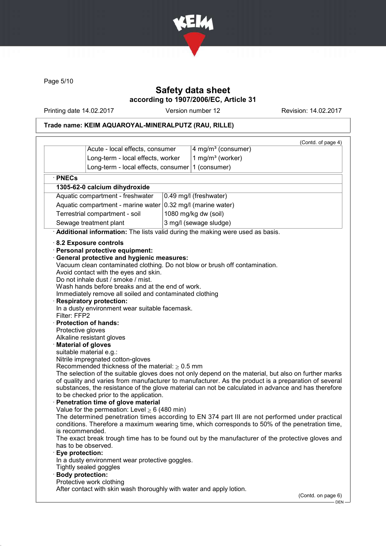

Page 5/10

## Safety data sheet according to 1907/2006/EC, Article 31

Printing date 14.02.2017 Version number 12 Revision: 14.02.2017

# Trade name: KEIM AQUAROYAL-MINERALPUTZ (RAU, RILLE)

|                                                                                                                                                             | Acute - local effects, consumer                                                                                                                                                                                                                                                                                                                                                                                                                                                                                                                                                                                                                                                                                                                                                                                           | 4 mg/m <sup>3</sup> (consumer)                                                                                                                                                                                                                                                                                                                                                                                                                                                                                                                                                                                                                                                                              | (Contd. of page 4) |
|-------------------------------------------------------------------------------------------------------------------------------------------------------------|---------------------------------------------------------------------------------------------------------------------------------------------------------------------------------------------------------------------------------------------------------------------------------------------------------------------------------------------------------------------------------------------------------------------------------------------------------------------------------------------------------------------------------------------------------------------------------------------------------------------------------------------------------------------------------------------------------------------------------------------------------------------------------------------------------------------------|-------------------------------------------------------------------------------------------------------------------------------------------------------------------------------------------------------------------------------------------------------------------------------------------------------------------------------------------------------------------------------------------------------------------------------------------------------------------------------------------------------------------------------------------------------------------------------------------------------------------------------------------------------------------------------------------------------------|--------------------|
|                                                                                                                                                             | Long-term - local effects, worker                                                                                                                                                                                                                                                                                                                                                                                                                                                                                                                                                                                                                                                                                                                                                                                         | 1 mg/m <sup>3</sup> (worker)                                                                                                                                                                                                                                                                                                                                                                                                                                                                                                                                                                                                                                                                                |                    |
|                                                                                                                                                             | Long-term - local effects, consumer                                                                                                                                                                                                                                                                                                                                                                                                                                                                                                                                                                                                                                                                                                                                                                                       | 1 (consumer)                                                                                                                                                                                                                                                                                                                                                                                                                                                                                                                                                                                                                                                                                                |                    |
|                                                                                                                                                             |                                                                                                                                                                                                                                                                                                                                                                                                                                                                                                                                                                                                                                                                                                                                                                                                                           |                                                                                                                                                                                                                                                                                                                                                                                                                                                                                                                                                                                                                                                                                                             |                    |
| · PNECs                                                                                                                                                     |                                                                                                                                                                                                                                                                                                                                                                                                                                                                                                                                                                                                                                                                                                                                                                                                                           |                                                                                                                                                                                                                                                                                                                                                                                                                                                                                                                                                                                                                                                                                                             |                    |
|                                                                                                                                                             | 1305-62-0 calcium dihydroxide                                                                                                                                                                                                                                                                                                                                                                                                                                                                                                                                                                                                                                                                                                                                                                                             |                                                                                                                                                                                                                                                                                                                                                                                                                                                                                                                                                                                                                                                                                                             |                    |
|                                                                                                                                                             | Aquatic compartment - freshwater                                                                                                                                                                                                                                                                                                                                                                                                                                                                                                                                                                                                                                                                                                                                                                                          | 0.49 mg/l (freshwater)                                                                                                                                                                                                                                                                                                                                                                                                                                                                                                                                                                                                                                                                                      |                    |
|                                                                                                                                                             | Aquatic compartment - marine water 0.32 mg/l (marine water)                                                                                                                                                                                                                                                                                                                                                                                                                                                                                                                                                                                                                                                                                                                                                               |                                                                                                                                                                                                                                                                                                                                                                                                                                                                                                                                                                                                                                                                                                             |                    |
|                                                                                                                                                             | Terrestrial compartment - soil                                                                                                                                                                                                                                                                                                                                                                                                                                                                                                                                                                                                                                                                                                                                                                                            | 1080 mg/kg dw (soil)                                                                                                                                                                                                                                                                                                                                                                                                                                                                                                                                                                                                                                                                                        |                    |
|                                                                                                                                                             | Sewage treatment plant                                                                                                                                                                                                                                                                                                                                                                                                                                                                                                                                                                                                                                                                                                                                                                                                    | 3 mg/l (sewage sludge)                                                                                                                                                                                                                                                                                                                                                                                                                                                                                                                                                                                                                                                                                      |                    |
|                                                                                                                                                             |                                                                                                                                                                                                                                                                                                                                                                                                                                                                                                                                                                                                                                                                                                                                                                                                                           | Additional information: The lists valid during the making were used as basis.                                                                                                                                                                                                                                                                                                                                                                                                                                                                                                                                                                                                                               |                    |
| Filter: FFP2<br>Protective gloves<br><b>Material of gloves</b><br>is recommended.<br>Eye protection:<br><b>Body protection:</b><br>Protective work clothing | 8.2 Exposure controls<br>· Personal protective equipment:<br><b>General protective and hygienic measures:</b><br>Avoid contact with the eyes and skin.<br>Do not inhale dust / smoke / mist.<br>Wash hands before breaks and at the end of work.<br>Immediately remove all soiled and contaminated clothing<br><b>Respiratory protection:</b><br>In a dusty environment wear suitable facemask.<br>· Protection of hands:<br>Alkaline resistant gloves<br>suitable material e.g.:<br>Nitrile impregnated cotton-gloves<br>Recommended thickness of the material: $\geq 0.5$ mm<br>to be checked prior to the application.<br>Penetration time of glove material<br>Value for the permeation: Level $\geq 6$ (480 min)<br>has to be observed.<br>In a dusty environment wear protective goggles.<br>Tightly sealed goggles | Vacuum clean contaminated clothing. Do not blow or brush off contamination.<br>The selection of the suitable gloves does not only depend on the material, but also on further marks<br>of quality and varies from manufacturer to manufacturer. As the product is a preparation of several<br>substances, the resistance of the glove material can not be calculated in advance and has therefore<br>The determined penetration times according to EN 374 part III are not performed under practical<br>conditions. Therefore a maximum wearing time, which corresponds to 50% of the penetration time,<br>The exact break trough time has to be found out by the manufacturer of the protective gloves and |                    |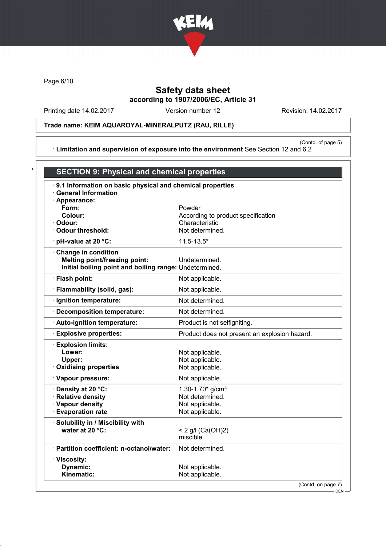

Page 6/10

# Safety data sheet according to 1907/2006/EC, Article 31

Printing date 14.02.2017 Version number 12 Revision: 14.02.2017

Trade name: KEIM AQUAROYAL-MINERALPUTZ (RAU, RILLE)

(Contd. of page 5) · Limitation and supervision of exposure into the environment See Section 12 and 6.2

| .9.1 Information on basic physical and chemical properties |                                               |
|------------------------------------------------------------|-----------------------------------------------|
| <b>General Information</b>                                 |                                               |
| · Appearance:                                              |                                               |
| Form:                                                      | Powder                                        |
| Colour:                                                    | According to product specification            |
| · Odour:                                                   | Characteristic                                |
| Odour threshold:                                           | Not determined.                               |
| · pH-value at 20 °C:                                       | $11.5 - 13.5*$                                |
| Change in condition                                        |                                               |
| <b>Melting point/freezing point:</b>                       | Undetermined.                                 |
| Initial boiling point and boiling range: Undetermined.     |                                               |
| · Flash point:                                             | Not applicable.                               |
| · Flammability (solid, gas):                               | Not applicable.                               |
| · Ignition temperature:                                    | Not determined.                               |
| · Decomposition temperature:                               | Not determined.                               |
| · Auto-ignition temperature:                               | Product is not selfigniting.                  |
| <b>Explosive properties:</b>                               | Product does not present an explosion hazard. |
| <b>Explosion limits:</b>                                   |                                               |
| Lower:                                                     | Not applicable.                               |
| Upper:                                                     | Not applicable.                               |
| <b>Oxidising properties</b>                                | Not applicable.                               |
| · Vapour pressure:                                         | Not applicable.                               |
| · Density at 20 °C:                                        | 1.30-1.70 $*$ g/cm <sup>3</sup>               |
| · Relative density                                         | Not determined.                               |
| · Vapour density                                           | Not applicable.                               |
| <b>Evaporation rate</b>                                    | Not applicable.                               |
| Solubility in / Miscibility with                           |                                               |
| water at 20 °C:                                            | < 2 g/l (Ca(OH)2)                             |
|                                                            | miscible                                      |
| · Partition coefficient: n-octanol/water:                  | Not determined.                               |
| · Viscosity:                                               |                                               |
| Dynamic:                                                   | Not applicable.                               |
| Kinematic:                                                 | Not applicable.                               |

DEN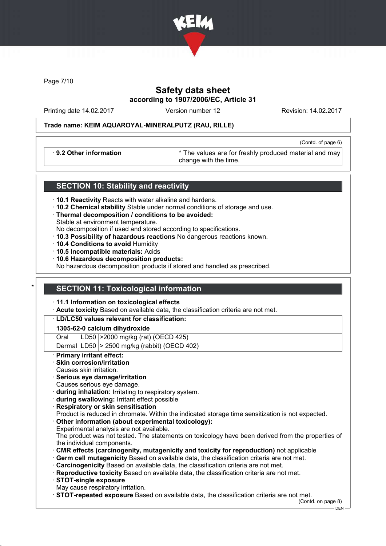

Page 7/10

## Safety data sheet according to 1907/2006/EC, Article 31

Printing date 14.02.2017 Version number 12 Revision: 14.02.2017

(Contd. of page 6)

#### Trade name: KEIM AQUAROYAL-MINERALPUTZ (RAU, RILLE)

· 9.2 Other information \* The values are for freshly produced material and may change with the time.

### SECTION 10: Stability and reactivity

- · 10.1 Reactivity Reacts with water alkaline and hardens.
- · 10.2 Chemical stability Stable under normal conditions of storage and use.
- · Thermal decomposition / conditions to be avoided: Stable at environment temperature.
- No decomposition if used and stored according to specifications.
- · 10.3 Possibility of hazardous reactions No dangerous reactions known.
- · 10.4 Conditions to avoid Humidity
- · 10.5 Incompatible materials: Acids
- · 10.6 Hazardous decomposition products:

No hazardous decomposition products if stored and handled as prescribed.

#### **SECTION 11: Toxicological information**

#### · 11.1 Information on toxicological effects

Acute toxicity Based on available data, the classification criteria are not met.

#### · LD/LC50 values relevant for classification:

#### 1305-62-0 calcium dihydroxide

Oral LD50 >2000 mg/kg (rat) (OECD 425)

Dermal  $|LD50|$  > 2500 mg/kg (rabbit) (OECD 402)

#### **Primary irritant effect:**

- Skin corrosion/irritation
- Causes skin irritation.
- Serious eye damage/irritation
- Causes serious eye damage.
- · during inhalation: Irritating to respiratory system.
- · during swallowing: Irritant effect possible
- · Respiratory or skin sensitisation

Product is reduced in chromate. Within the indicated storage time sensitization is not expected.

Other information (about experimental toxicology): Experimental analysis are not available.

The product was not tested. The statements on toxicology have been derived from the properties of the individual components.

- · CMR effects (carcinogenity, mutagenicity and toxicity for reproduction) not applicable
- · Germ cell mutagenicity Based on available data, the classification criteria are not met.
- **Carcinogenicity** Based on available data, the classification criteria are not met.
- · Reproductive toxicity Based on available data, the classification criteria are not met.
- · STOT-single exposure
- May cause respiratory irritation.

· STOT-repeated exposure Based on available data, the classification criteria are not met.

(Contd. on page 8) DEN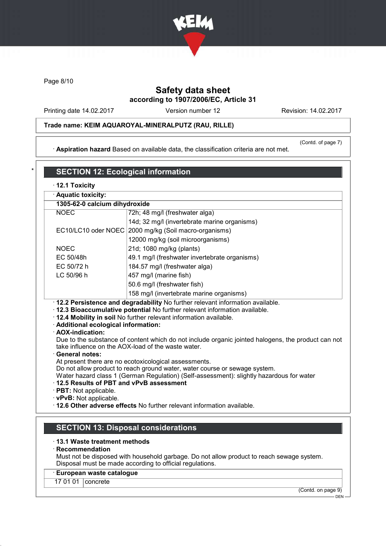

Page 8/10

## Safety data sheet according to 1907/2006/EC, Article 31

Printing date 14.02.2017 Version number 12 Revision: 14.02.2017

### Trade name: KEIM AQUAROYAL-MINERALPUTZ (RAU, RILLE)

· Aspiration hazard Based on available data, the classification criteria are not met.

(Contd. of page 7)

## **SECTION 12: Ecological information** · 12.1 Toxicity · Aquatic toxicity: 1305-62-0 calcium dihydroxide

| 1999 94 9 981918111 8111 981 981 88           |                                                                                                    |  |
|-----------------------------------------------|----------------------------------------------------------------------------------------------------|--|
| <b>NOEC</b><br>72h; 48 mg/l (freshwater alga) |                                                                                                    |  |
|                                               | 14d; 32 mg/l (invertebrate marine organisms)                                                       |  |
|                                               | EC10/LC10 oder NOEC 2000 mg/kg (Soil macro-organisms)                                              |  |
|                                               | 12000 mg/kg (soil microorganisms)                                                                  |  |
| <b>NOEC</b>                                   | 21d; 1080 mg/kg (plants)                                                                           |  |
| EC 50/48h                                     | 49.1 mg/l (freshwater invertebrate organisms)                                                      |  |
| EC 50/72 h<br>184.57 mg/l (freshwater alga)   |                                                                                                    |  |
| LC 50/96 h                                    | 457 mg/l (marine fish)                                                                             |  |
|                                               | 50.6 mg/l (freshwater fish)                                                                        |  |
|                                               | 158 mg/l (invertebrate marine organisms)                                                           |  |
|                                               | . 12.2 Persistence and degradability No further relevant information available.                    |  |
|                                               | . 12.3 Bioaccumulative potential No further relevant information available.                        |  |
|                                               | · 12.4 Mobility in soil No further relevant information available.                                 |  |
| · Additional ecological information:          |                                                                                                    |  |
| · AOX-indication:                             | Due to the substance of content which do not include organic jointed halogens, the product can not |  |
|                                               | take influence on the AOX-load of the waste water.                                                 |  |
| · General notes:                              |                                                                                                    |  |
|                                               | At present there are no ecotoxicological assessments.                                              |  |
|                                               | Do not allow product to reach ground water, water course or sewage system.                         |  |
|                                               | Water hazard class 1 (German Regulation) (Self-assessment): slightly hazardous for water           |  |
| 12.5 Results of PBT and vPvB assessment       |                                                                                                    |  |
| $\cdot$ PBT: Not applicable.                  |                                                                                                    |  |

· vPvB: Not applicable.

· 12.6 Other adverse effects No further relevant information available.

## SECTION 13: Disposal considerations

#### · 13.1 Waste treatment methods

#### · Recommendation

Must not be disposed with household garbage. Do not allow product to reach sewage system. Disposal must be made according to official regulations.

#### · European waste catalogue

17 01 01 | concrete

(Contd. on page 9) DEN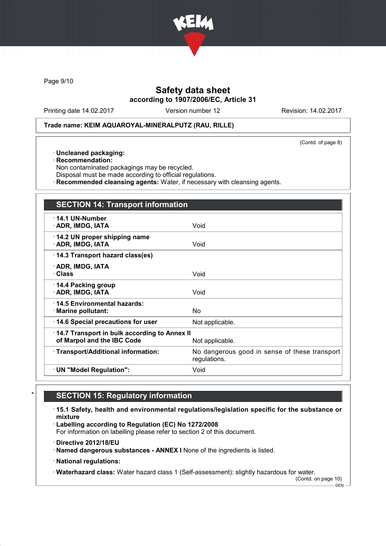

Page 9/10

## Safety data sheet according to 1907/2006/EC, Article 31

Printing date 14.02.2017 Version number 12 Revision: 14.02.2017

#### Trade name: KEIM AQUAROYAL-MINERALPUTZ (RAU, RILLE)

(Contd. of page 8)

- · Uncleaned packaging:
- · Recommendation:
- Non contaminated packagings may be recycled.
- Disposal must be made according to official regulations.
- · Recommended cleansing agents: Water, if necessary with cleansing agents.

| <b>SECTION 14: Transport information</b>                                   |                                                               |
|----------------------------------------------------------------------------|---------------------------------------------------------------|
| $\cdot$ 14.1 UN-Number<br>· ADR, IMDG, IATA                                | Void                                                          |
| 14.2 UN proper shipping name<br>· ADR, IMDG, IATA                          | Void                                                          |
| 14.3 Transport hazard class(es)                                            |                                                               |
| · ADR, IMDG, IATA<br><b>· Class</b>                                        | Void                                                          |
| $\cdot$ 14.4 Packing group<br>· ADR, IMDG, IATA                            | Void                                                          |
| ⋅14.5 Environmental hazards:<br>$\cdot$ Marine pollutant:                  | No.                                                           |
| 14.6 Special precautions for user                                          | Not applicable.                                               |
| 14.7 Transport in bulk according to Annex II<br>of Marpol and the IBC Code | Not applicable.                                               |
| · Transport/Additional information:                                        | No dangerous good in sense of these transport<br>regulations. |
| · UN "Model Regulation":                                                   | Void                                                          |

# **SECTION 15: Regulatory information**

- · 15.1 Safety, health and environmental regulations/legislation specific for the substance or mixture
- · Labelling according to Regulation (EC) No 1272/2008

For information on labelling please refer to section 2 of this document.

- · Directive 2012/18/EU
- · Named dangerous substances ANNEX I None of the ingredients is listed.
- · National regulations:

· Waterhazard class: Water hazard class 1 (Self-assessment): slightly hazardous for water.

(Contd. on page 10)  $-$  DEN